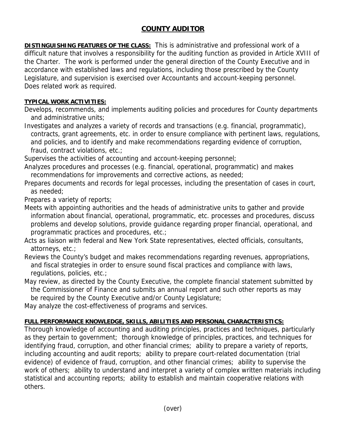## **COUNTY AUDITOR**

**DISTINGUISHING FEATURES OF THE CLASS:** This is administrative and professional work of a difficult nature that involves a responsibility for the auditing function as provided in Article XVIII of the Charter. The work is performed under the general direction of the County Executive and in accordance with established laws and regulations, including those prescribed by the County Legislature, and supervision is exercised over Accountants and account-keeping personnel. Does related work as required.

## **TYPICAL WORK ACTIVITIES:**

Develops, recommends, and implements auditing policies and procedures for County departments and administrative units;

Investigates and analyzes a variety of records and transactions (e.g. financial, programmatic), contracts, grant agreements, etc. in order to ensure compliance with pertinent laws, regulations, and policies, and to identify and make recommendations regarding evidence of corruption, fraud, contract violations, etc.;

Supervises the activities of accounting and account-keeping personnel;

Analyzes procedures and processes (e.g. financial, operational, programmatic) and makes recommendations for improvements and corrective actions, as needed;

Prepares documents and records for legal processes, including the presentation of cases in court, as needed;

Prepares a variety of reports;

Meets with appointing authorities and the heads of administrative units to gather and provide information about financial, operational, programmatic, etc. processes and procedures, discuss problems and develop solutions, provide guidance regarding proper financial, operational, and programmatic practices and procedures, etc.;

Acts as liaison with federal and New York State representatives, elected officials, consultants, attorneys, etc.;

Reviews the County's budget and makes recommendations regarding revenues, appropriations, and fiscal strategies in order to ensure sound fiscal practices and compliance with laws, regulations, policies, etc.;

May review, as directed by the County Executive, the complete financial statement submitted by the Commissioner of Finance and submits an annual report and such other reports as may be required by the County Executive and/or County Legislature;

May analyze the cost-effectiveness of programs and services.

## **FULL PERFORMANCE KNOWLEDGE, SKILLS, ABILITIES AND PERSONAL CHARACTERISTICS:**

Thorough knowledge of accounting and auditing principles, practices and techniques, particularly as they pertain to government; thorough knowledge of principles, practices, and techniques for identifying fraud, corruption, and other financial crimes; ability to prepare a variety of reports, including accounting and audit reports; ability to prepare court-related documentation (trial evidence) of evidence of fraud, corruption, and other financial crimes; ability to supervise the work of others; ability to understand and interpret a variety of complex written materials including statistical and accounting reports; ability to establish and maintain cooperative relations with others.